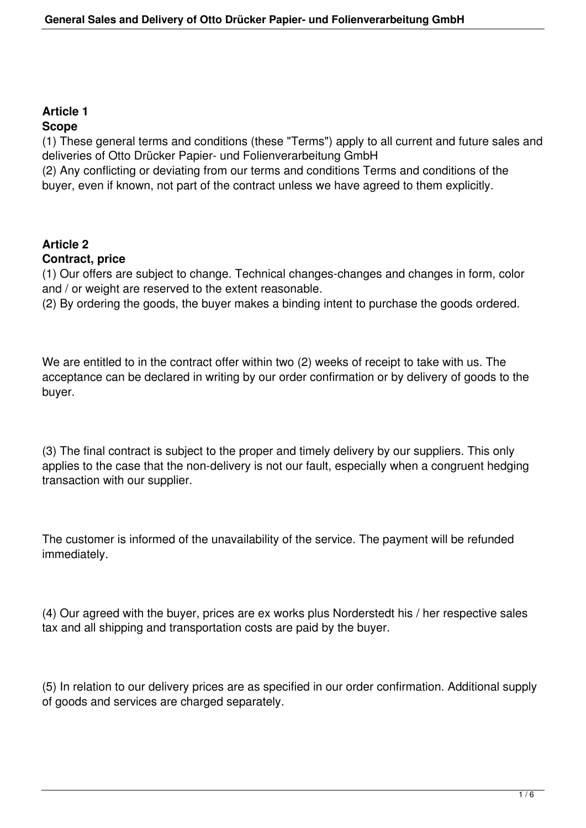# **Article 1**

## **Scope**

(1) These general terms and conditions (these "Terms") apply to all current and future sales and deliveries of Otto Drücker Papier- und Folienverarbeitung GmbH

(2) Any conflicting or deviating from our terms and conditions Terms and conditions of the buyer, even if known, not part of the contract unless we have agreed to them explicitly.

# **Article 2**

### **Contract, price**

(1) Our offers are subject to change. Technical changes-changes and changes in form, color and / or weight are reserved to the extent reasonable.

(2) By ordering the goods, the buyer makes a binding intent to purchase the goods ordered.

We are entitled to in the contract offer within two (2) weeks of receipt to take with us. The acceptance can be declared in writing by our order confirmation or by delivery of goods to the buyer.

(3) The final contract is subject to the proper and timely delivery by our suppliers. This only applies to the case that the non-delivery is not our fault, especially when a congruent hedging transaction with our supplier.

The customer is informed of the unavailability of the service. The payment will be refunded immediately.

(4) Our agreed with the buyer, prices are ex works plus Norderstedt his / her respective sales tax and all shipping and transportation costs are paid by the buyer.

(5) In relation to our delivery prices are as specified in our order confirmation. Additional supply of goods and services are charged separately.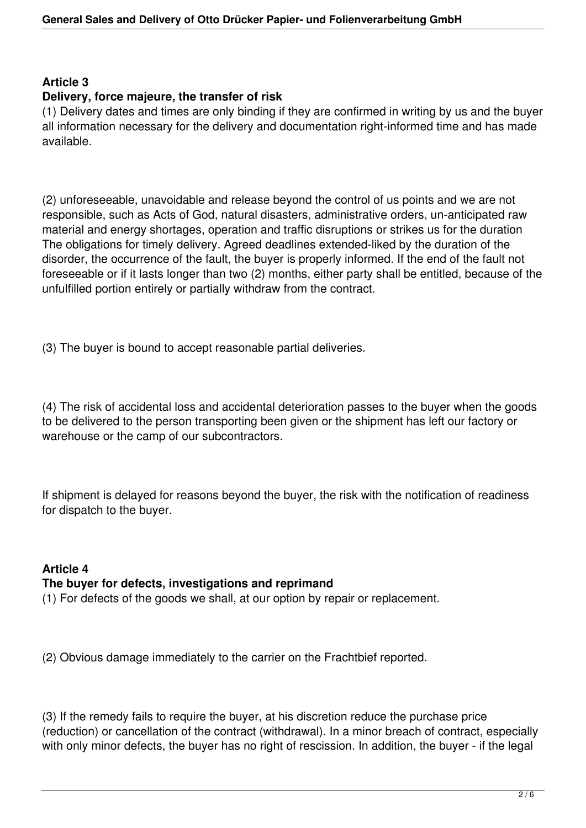### **Article 3**

#### **Delivery, force majeure, the transfer of risk**

(1) Delivery dates and times are only binding if they are confirmed in writing by us and the buyer all information necessary for the delivery and documentation right-informed time and has made available.

(2) unforeseeable, unavoidable and release beyond the control of us points and we are not responsible, such as Acts of God, natural disasters, administrative orders, un-anticipated raw material and energy shortages, operation and traffic disruptions or strikes us for the duration The obligations for timely delivery. Agreed deadlines extended-liked by the duration of the disorder, the occurrence of the fault, the buyer is properly informed. If the end of the fault not foreseeable or if it lasts longer than two (2) months, either party shall be entitled, because of the unfulfilled portion entirely or partially withdraw from the contract.

(3) The buyer is bound to accept reasonable partial deliveries.

(4) The risk of accidental loss and accidental deterioration passes to the buyer when the goods to be delivered to the person transporting been given or the shipment has left our factory or warehouse or the camp of our subcontractors.

If shipment is delayed for reasons beyond the buyer, the risk with the notification of readiness for dispatch to the buyer.

## **Article 4 The buyer for defects, investigations and reprimand**

(1) For defects of the goods we shall, at our option by repair or replacement.

(2) Obvious damage immediately to the carrier on the Frachtbief reported.

(3) If the remedy fails to require the buyer, at his discretion reduce the purchase price (reduction) or cancellation of the contract (withdrawal). In a minor breach of contract, especially with only minor defects, the buyer has no right of rescission. In addition, the buyer - if the legal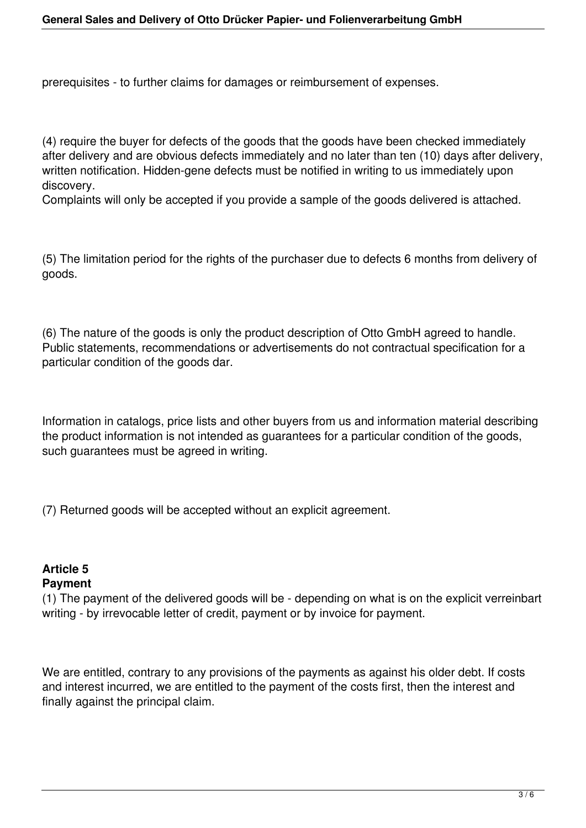prerequisites - to further claims for damages or reimbursement of expenses.

(4) require the buyer for defects of the goods that the goods have been checked immediately after delivery and are obvious defects immediately and no later than ten (10) days after delivery, written notification. Hidden-gene defects must be notified in writing to us immediately upon discovery.

Complaints will only be accepted if you provide a sample of the goods delivered is attached.

(5) The limitation period for the rights of the purchaser due to defects 6 months from delivery of goods.

(6) The nature of the goods is only the product description of Otto GmbH agreed to handle. Public statements, recommendations or advertisements do not contractual specification for a particular condition of the goods dar.

Information in catalogs, price lists and other buyers from us and information material describing the product information is not intended as guarantees for a particular condition of the goods, such guarantees must be agreed in writing.

(7) Returned goods will be accepted without an explicit agreement.

### **Article 5 Payment**

(1) The payment of the delivered goods will be - depending on what is on the explicit verreinbart writing - by irrevocable letter of credit, payment or by invoice for payment.

We are entitled, contrary to any provisions of the payments as against his older debt. If costs and interest incurred, we are entitled to the payment of the costs first, then the interest and finally against the principal claim.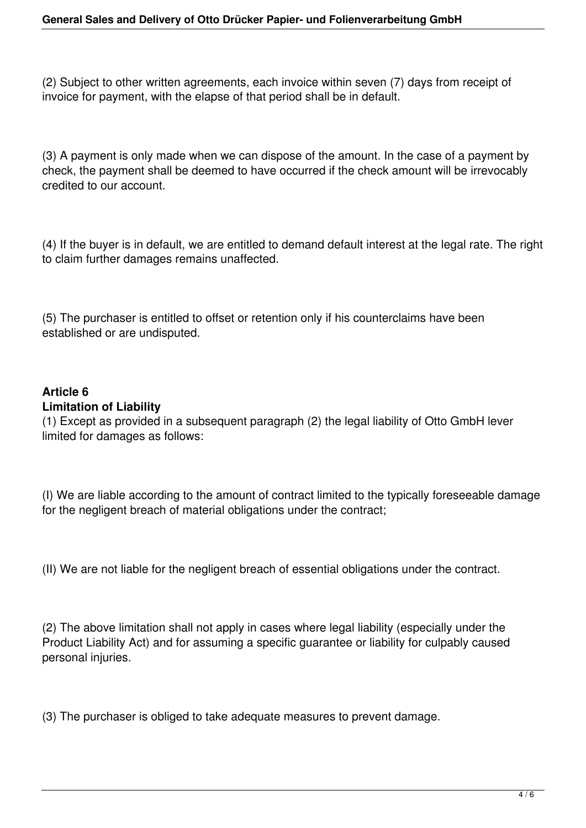(2) Subject to other written agreements, each invoice within seven (7) days from receipt of invoice for payment, with the elapse of that period shall be in default.

(3) A payment is only made when we can dispose of the amount. In the case of a payment by check, the payment shall be deemed to have occurred if the check amount will be irrevocably credited to our account.

(4) If the buyer is in default, we are entitled to demand default interest at the legal rate. The right to claim further damages remains unaffected.

(5) The purchaser is entitled to offset or retention only if his counterclaims have been established or are undisputed.

### **Article 6**

### **Limitation of Liability**

(1) Except as provided in a subsequent paragraph (2) the legal liability of Otto GmbH lever limited for damages as follows:

(I) We are liable according to the amount of contract limited to the typically foreseeable damage for the negligent breach of material obligations under the contract;

(II) We are not liable for the negligent breach of essential obligations under the contract.

(2) The above limitation shall not apply in cases where legal liability (especially under the Product Liability Act) and for assuming a specific guarantee or liability for culpably caused personal injuries.

(3) The purchaser is obliged to take adequate measures to prevent damage.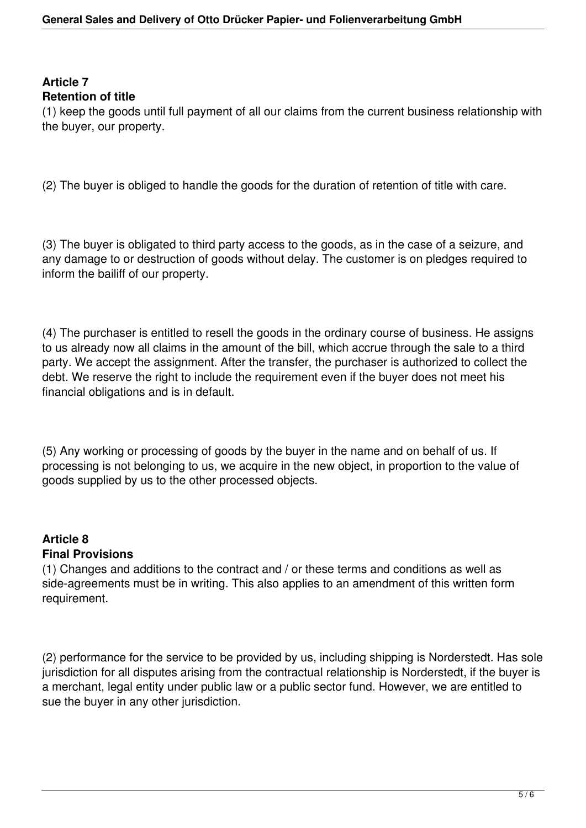### **Article 7 Retention of title**

(1) keep the goods until full payment of all our claims from the current business relationship with the buyer, our property.

(2) The buyer is obliged to handle the goods for the duration of retention of title with care.

(3) The buyer is obligated to third party access to the goods, as in the case of a seizure, and any damage to or destruction of goods without delay. The customer is on pledges required to inform the bailiff of our property.

(4) The purchaser is entitled to resell the goods in the ordinary course of business. He assigns to us already now all claims in the amount of the bill, which accrue through the sale to a third party. We accept the assignment. After the transfer, the purchaser is authorized to collect the debt. We reserve the right to include the requirement even if the buyer does not meet his financial obligations and is in default.

(5) Any working or processing of goods by the buyer in the name and on behalf of us. If processing is not belonging to us, we acquire in the new object, in proportion to the value of goods supplied by us to the other processed objects.

#### **Article 8 Final Provisions**

(1) Changes and additions to the contract and / or these terms and conditions as well as side-agreements must be in writing. This also applies to an amendment of this written form requirement.

(2) performance for the service to be provided by us, including shipping is Norderstedt. Has sole jurisdiction for all disputes arising from the contractual relationship is Norderstedt, if the buyer is a merchant, legal entity under public law or a public sector fund. However, we are entitled to sue the buyer in any other jurisdiction.